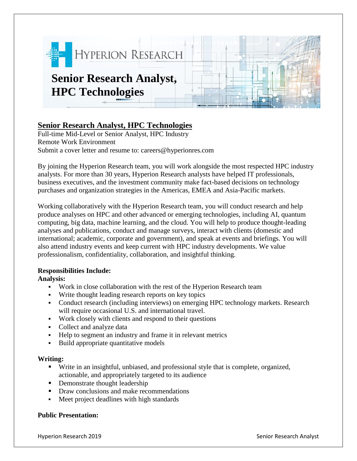

# **Senior Research Analyst, HPC Technologies**

Full-time Mid-Level or Senior Analyst, HPC Industry Remote Work Environment Submit a cover letter and resume to: careers@hyperionres.com

By joining the Hyperion Research team, you will work alongside the most respected HPC industry analysts. For more than 30 years, Hyperion Research analysts have helped IT professionals, business executives, and the investment community make fact-based decisions on technology purchases and organization strategies in the Americas, EMEA and Asia-Pacific markets.

Working collaboratively with the Hyperion Research team, you will conduct research and help produce analyses on HPC and other advanced or emerging technologies, including AI, quantum computing, big data, machine learning, and the cloud. You will help to produce thought-leading analyses and publications, conduct and manage surveys, interact with clients (domestic and international; academic, corporate and government), and speak at events and briefings. You will also attend industry events and keep current with HPC industry developments. We value professionalism, confidentiality, collaboration, and insightful thinking.

# **Responsibilities Include:**

**Analysis:**

- Work in close collaboration with the rest of the Hyperion Research team
- Write thought leading research reports on key topics
- Conduct research (including interviews) on emerging HPC technology markets. Research will require occasional U.S. and international travel.
- Work closely with clients and respond to their questions
- Collect and analyze data
- Help to segment an industry and frame it in relevant metrics
- Build appropriate quantitative models

#### **Writing:**

- Write in an insightful, unbiased, and professional style that is complete, organized, actionable, and appropriately targeted to its audience
- **•** Demonstrate thought leadership
- Draw conclusions and make recommendations
- Meet project deadlines with high standards

# **Public Presentation:**

Hyperion Research 2019 Senior Research Analyst